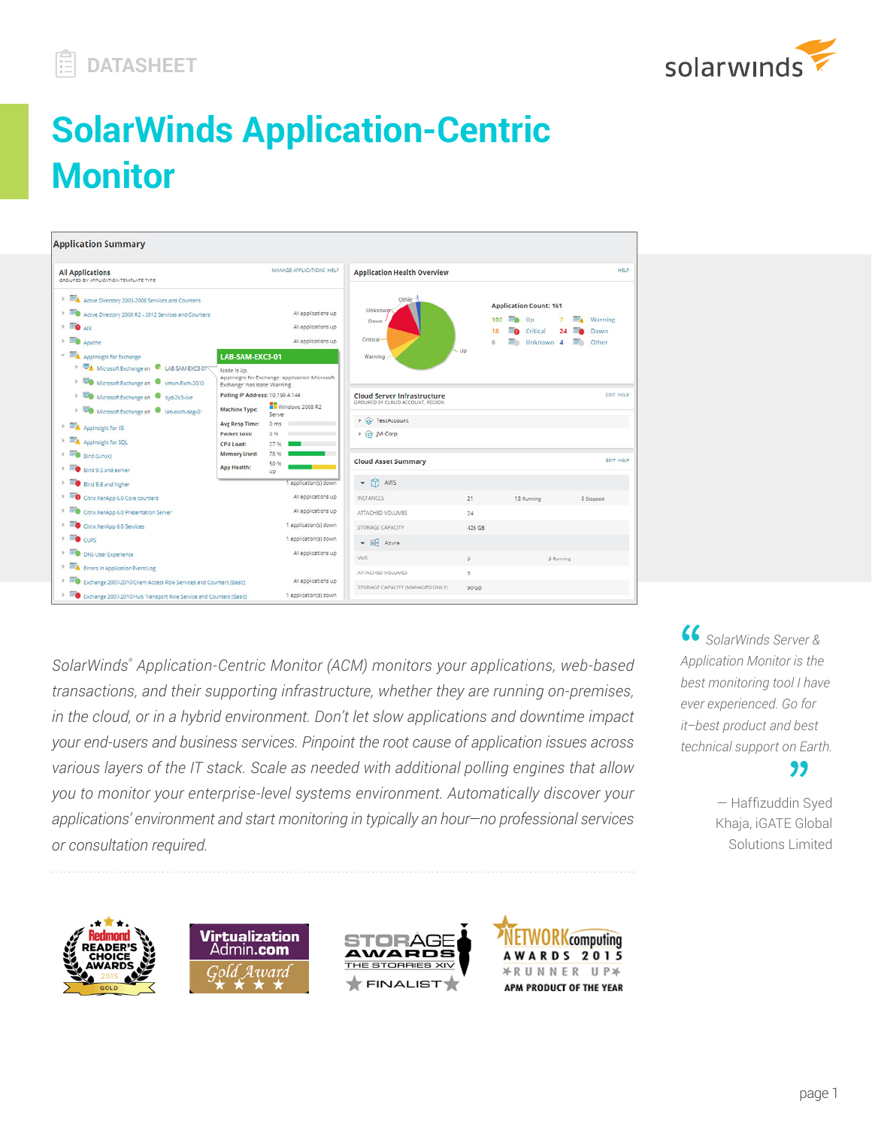

# **SolarWinds Application-Centric Monitor**



*SolarWinds® Application-Centric Monitor (ACM) monitors your applications, web-based transactions, and their supporting infrastructure, whether they are running on-premises, in the cloud, or in a hybrid environment. Don't let slow applications and downtime impact your end-users and business services. Pinpoint the root cause of application issues across various layers of the IT stack. Scale as needed with additional polling engines that allow you to monitor your enterprise-level systems environment. Automatically discover your applications' environment and start monitoring in typically an hour—no professional services or consultation required.* 

 *SolarWinds Server & Application Monitor is the best monitoring tool I have ever experienced. Go for it–best product and best technical support on Earth.* "

> — Haffizuddin Syed Khaja, iGATE Global Solutions Limited







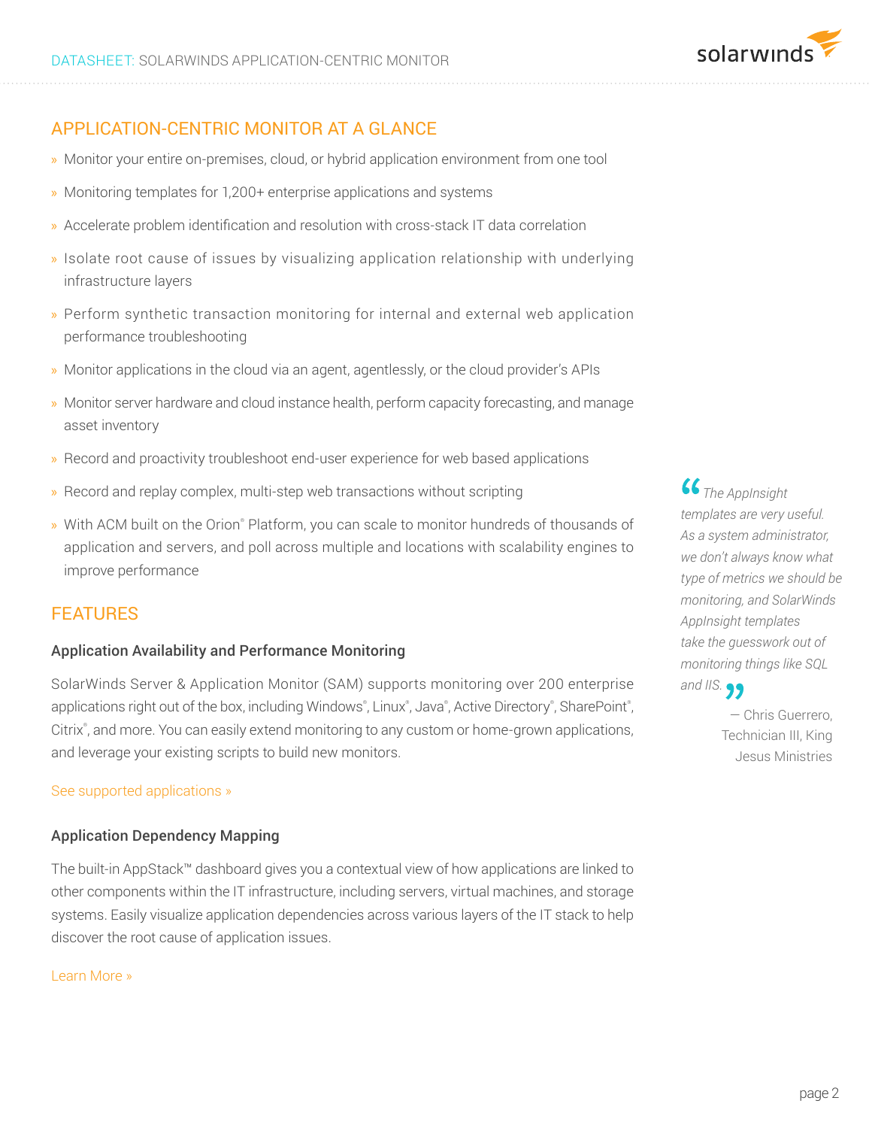# APPLICATION-CENTRIC MONITOR AT A GLANCE

- » Monitor your entire on-premises, cloud, or hybrid application environment from one tool
- » Monitoring templates for 1,200+ enterprise applications and systems
- » Accelerate problem identification and resolution with cross-stack IT data correlation
- » Isolate root cause of issues by visualizing application relationship with underlying infrastructure layers
- » Perform synthetic transaction monitoring for internal and external web application performance troubleshooting
- » Monitor applications in the cloud via an agent, agentlessly, or the cloud provider's APIs
- » Monitor server hardware and cloud instance health, perform capacity forecasting, and manage asset inventory
- » Record and proactivity troubleshoot end-user experience for web based applications
- » Record and replay complex, multi-step web transactions without scripting
- » With ACM built on the Orion® Platform, you can scale to monitor hundreds of thousands of application and servers, and poll across multiple and locations with scalability engines to improve performance

## FEATURES

## Application Availability and Performance Monitoring

SolarWinds Server & Application Monitor (SAM) supports monitoring over 200 enterprise applications right out of the box, including Windows®, Linux®, Java®, Active Directory®, SharePoint®, Citrix® , and more. You can easily extend monitoring to any custom or home-grown applications, and leverage your existing scripts to build new monitors.

#### [See supported applications »](https://www.solarwinds.com/server-application-monitor/supported-vendors)

#### Application Dependency Mapping

The built-in AppStack™ dashboard gives you a contextual view of how applications are linked to other components within the IT infrastructure, including servers, virtual machines, and storage systems. Easily visualize application dependencies across various layers of the IT stack to help discover the root cause of application issues.

#### [Learn More »](https://thwack.solarwinds.com/community/solarwinds-community/geek-speak_tht/blog/2016/02/09/simplify-performance-monitoring-troubleshooting-across-the-it-stack)

 *The AppInsight templates are very useful. As a system administrator, we don't always know what type of metrics we should be monitoring, and SolarWinds AppInsight templates take the guesswork out of monitoring things like SQL and IIS.*

> — Chris Guerrero, Technician III, King Jesus Ministries

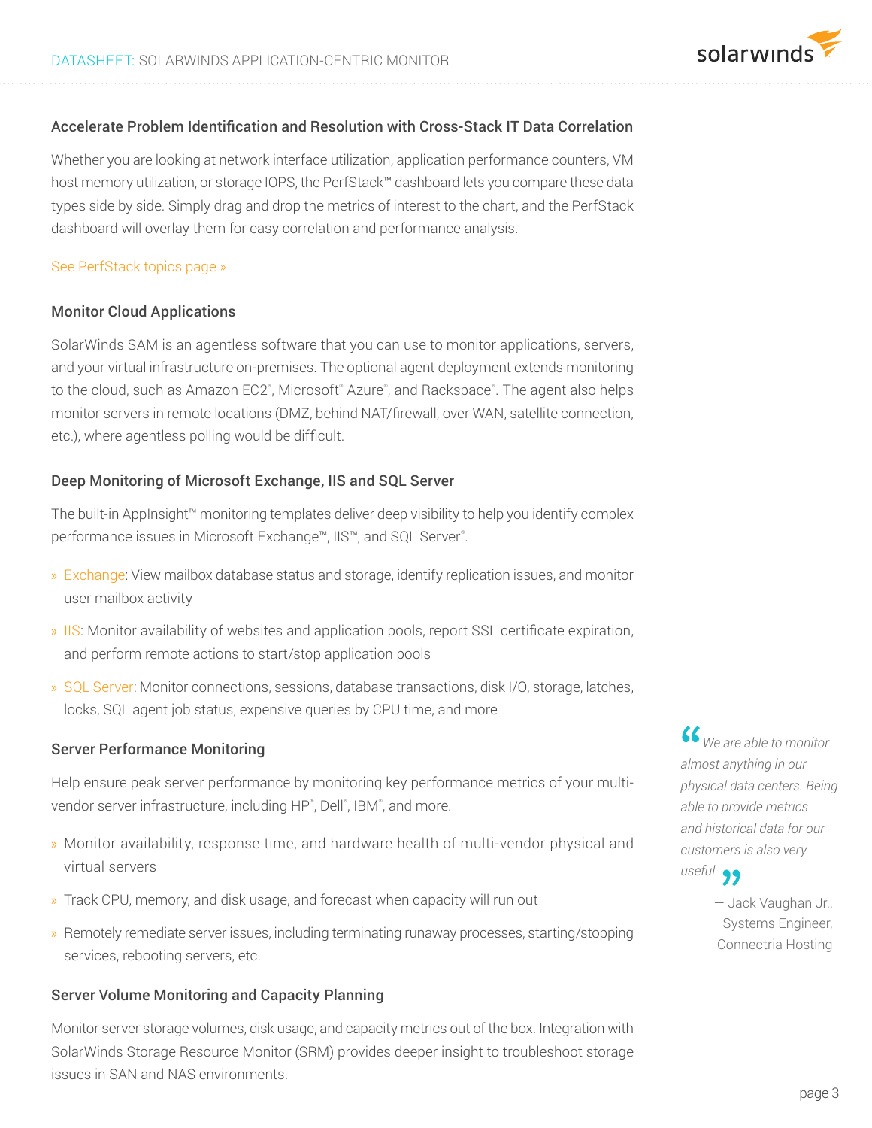## Accelerate Problem Identification and Resolution with Cross-Stack IT Data Correlation

Whether you are looking at network interface utilization, application performance counters, VM host memory utilization, or storage IOPS, the PerfStack™ dashboard lets you compare these data types side by side. Simply drag and drop the metrics of interest to the chart, and the PerfStack dashboard will overlay them for easy correlation and performance analysis.

#### [See PerfStack topics page »](https://www.solarwinds.com/perfstack)

#### Monitor Cloud Applications

SolarWinds SAM is an agentless software that you can use to monitor applications, servers, and your virtual infrastructure on-premises. The optional agent deployment extends monitoring to the cloud, such as Amazon EC2®, Microsoft® Azure®, and Rackspace®. The agent also helps monitor servers in remote locations (DMZ, behind NAT/firewall, over WAN, satellite connection, etc.), where agentless polling would be difficult.

#### Deep Monitoring of Microsoft Exchange, IIS and SQL Server

The built-in AppInsight™ monitoring templates deliver deep visibility to help you identify complex performance issues in Microsoft Exchange™, IIS™, and SQL Server®.

- » [Exchange:](https://www.solarwinds.com/topics/exchange-server-monitor) View mailbox database status and storage, identify replication issues, and monitor user mailbox activity
- » [IIS:](https://www.solarwinds.com/topics/microsoft-iis-monitor) Monitor availability of websites and application pools, report SSL certificate expiration, and perform remote actions to start/stop application pools
- » [SQL Server:](https://www.solarwinds.com/topics/sql-server-monitor) Monitor connections, sessions, database transactions, disk I/O, storage, latches, locks, SQL agent job status, expensive queries by CPU time, and more

#### Server Performance Monitoring

Help ensure peak server performance by monitoring key performance metrics of your multivendor server infrastructure, including HP®, Dell®, IBM®, and more.

- » Monitor availability, response time, and hardware health of multi-vendor physical and virtual servers
- » Track CPU, memory, and disk usage, and forecast when capacity will run out
- » Remotely remediate server issues, including terminating runaway processes, starting/stopping services, rebooting servers, etc.

#### Server Volume Monitoring and Capacity Planning

Monitor server storage volumes, disk usage, and capacity metrics out of the box. Integration with SolarWinds Storage Resource Monitor (SRM) provides deeper insight to troubleshoot storage issues in SAN and NAS environments.

 *We are able to monitor almost anything in our physical data centers. Being able to provide metrics and historical data for our customers is also very useful.*

> — Jack Vaughan Jr., Systems Engineer, Connectria Hosting

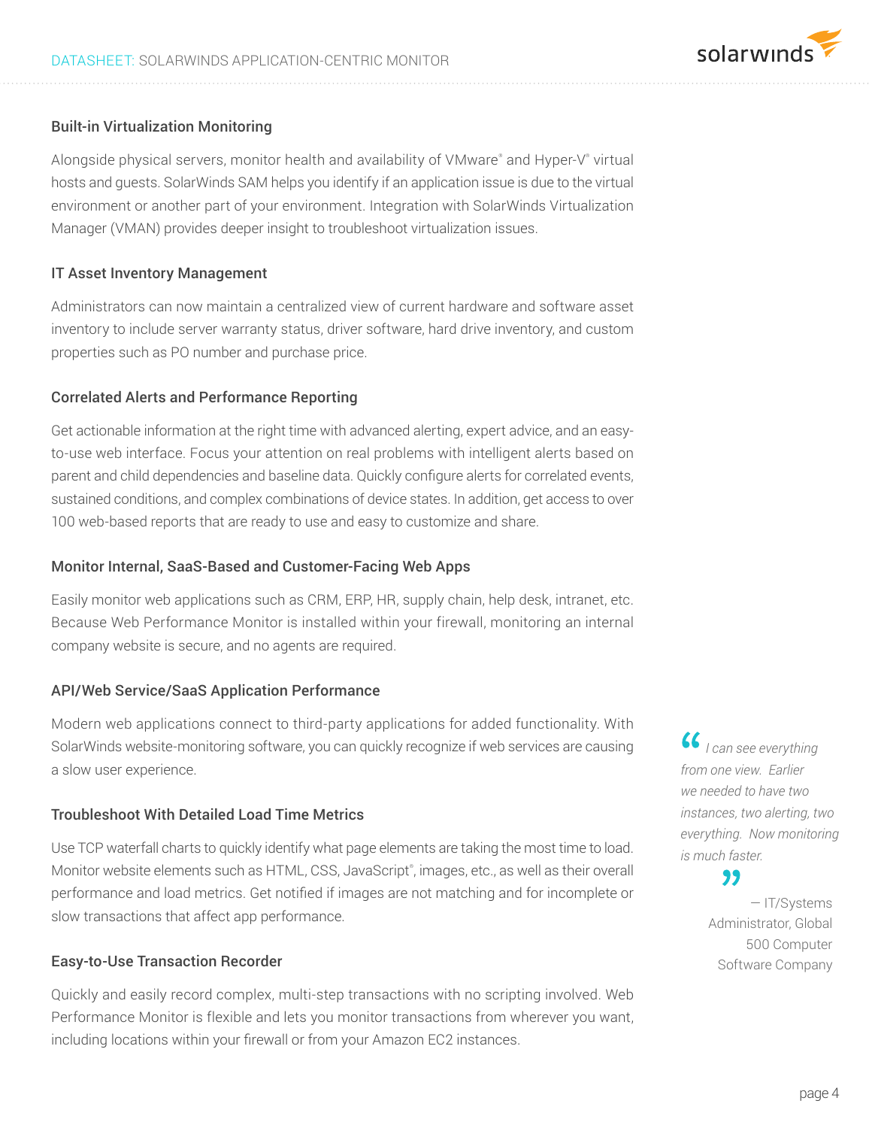## Built-in Virtualization Monitoring

Alongside physical servers, monitor health and availability of VMware® and Hyper-V® virtual hosts and guests. SolarWinds SAM helps you identify if an application issue is due to the virtual environment or another part of your environment. Integration with SolarWinds Virtualization Manager (VMAN) provides deeper insight to troubleshoot virtualization issues.

## IT Asset Inventory Management

Administrators can now maintain a centralized view of current hardware and software asset inventory to include server warranty status, driver software, hard drive inventory, and custom properties such as PO number and purchase price.

## Correlated Alerts and Performance Reporting

Get actionable information at the right time with advanced alerting, expert advice, and an easyto-use web interface. Focus your attention on real problems with intelligent alerts based on parent and child dependencies and baseline data. Quickly configure alerts for correlated events, sustained conditions, and complex combinations of device states. In addition, get access to over 100 web-based reports that are ready to use and easy to customize and share.

#### Monitor Internal, SaaS-Based and Customer-Facing Web Apps

Easily monitor web applications such as CRM, ERP, HR, supply chain, help desk, intranet, etc. Because Web Performance Monitor is installed within your firewall, monitoring an internal company website is secure, and no agents are required.

#### API/Web Service/SaaS Application Performance

Modern web applications connect to third-party applications for added functionality. With SolarWinds website-monitoring software, you can quickly recognize if web services are causing a slow user experience.

## Troubleshoot With Detailed Load Time Metrics

Use TCP waterfall charts to quickly identify what page elements are taking the most time to load. Monitor website elements such as HTML, CSS, JavaScript®, images, etc., as well as their overall performance and load metrics. Get notified if images are not matching and for incomplete or slow transactions that affect app performance.

#### Easy-to-Use Transaction Recorder

Quickly and easily record complex, multi-step transactions with no scripting involved. Web Performance Monitor is flexible and lets you monitor transactions from wherever you want, including locations within your firewall or from your Amazon EC2 instances.

 *I can see everything from one view. Earlier we needed to have two instances, two alerting, two everything. Now monitoring is much faster.*

solarwinds

## "

— IT/Systems Administrator, Global 500 Computer Software Company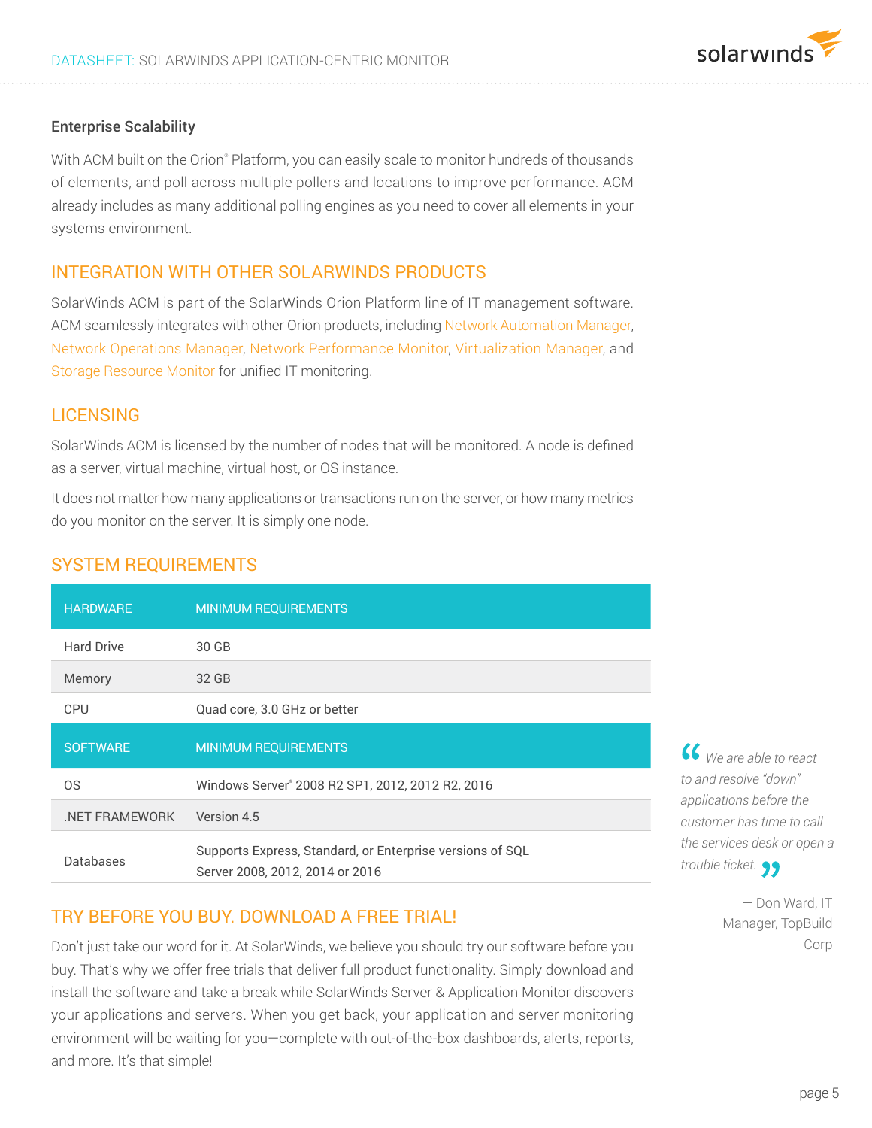## Enterprise Scalability

With ACM built on the Orion® Platform, you can easily scale to monitor hundreds of thousands of elements, and poll across multiple pollers and locations to improve performance. ACM already includes as many additional polling engines as you need to cover all elements in your systems environment.

# INTEGRATION WITH OTHER SOLARWINDS PRODUCTS

SolarWinds ACM is part of the SolarWinds Orion Platform line of IT management software. ACM seamlessly integrates with other Orion products, including [Network Automation Manager](http://www.solarwinds.com/network-automation-manager), [Network Operations Manager](http://www.solarwinds.com/network-operations-manager), [Network Performance Monitor](http://www.solarwinds.com/network-performance-monitor), [Virtualization Manager](http://www.solarwinds.com/virtualization-manager), and [Storage Resource Monitor](http://www.solarwinds.com/storage-resource-monitor) for unified IT monitoring.

## **LICENSING**

SolarWinds ACM is licensed by the number of nodes that will be monitored. A node is defined as a server, virtual machine, virtual host, or OS instance.

It does not matter how many applications or transactions run on the server, or how many metrics do you monitor on the server. It is simply one node.

| <b>HARDWARE</b>   | <b>MINIMUM REQUIREMENTS</b>                                                                  |
|-------------------|----------------------------------------------------------------------------------------------|
| <b>Hard Drive</b> | 30 GB                                                                                        |
| Memory            | 32 GB                                                                                        |
| <b>CPU</b>        | Quad core, 3.0 GHz or better                                                                 |
| <b>SOFTWARE</b>   | <b>MINIMUM REQUIREMENTS</b>                                                                  |
| 0S                | Windows Server® 2008 R2 SP1, 2012, 2012 R2, 2016                                             |
| .NET FRAMEWORK    | Version 4.5                                                                                  |
| Databases         | Supports Express, Standard, or Enterprise versions of SQL<br>Server 2008, 2012, 2014 or 2016 |

# SYSTEM REQUIREMENTS

# TRY BEFORE YOU BUY. DOWNLOAD A FREE TRIAL!

Don't just take our word for it. At SolarWinds, we believe you should try our software before you buy. That's why we offer free trials that deliver full product functionality. Simply download and install the software and take a break while SolarWinds Server & Application Monitor discovers your applications and servers. When you get back, your application and server monitoring environment will be waiting for you—complete with out-of-the-box dashboards, alerts, reports, and more. It's that simple!

 *We are able to react to and resolve "down" applications before the customer has time to call the services desk or open a trouble ticket.*

> — Don Ward, IT Manager, TopBuild Corp